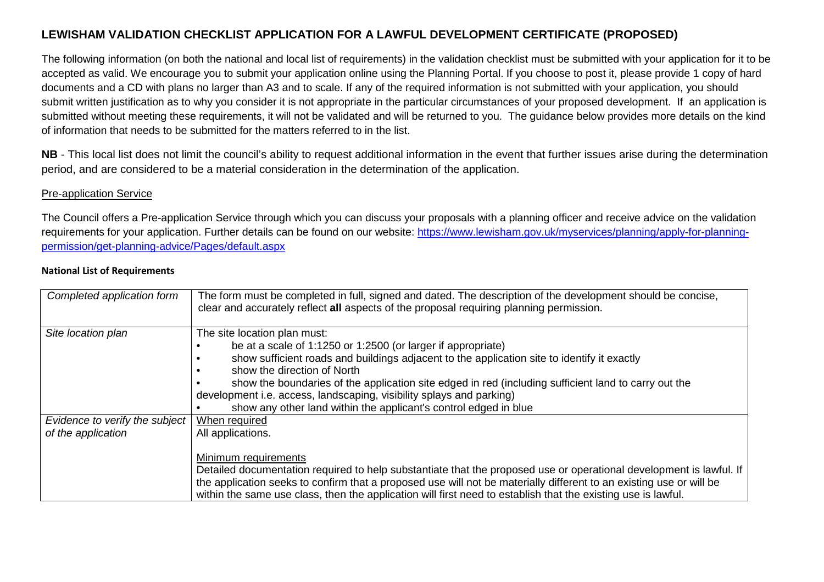# **LEWISHAM VALIDATION CHECKLIST APPLICATION FOR A LAWFUL DEVELOPMENT CERTIFICATE (PROPOSED)**

The following information (on both the national and local list of requirements) in the validation checklist must be submitted with your application for it to be accepted as valid. We encourage you to submit your application online using the Planning Portal. If you choose to post it, please provide 1 copy of hard documents and a CD with plans no larger than A3 and to scale. If any of the required information is not submitted with your application, you should submit written justification as to why you consider it is not appropriate in the particular circumstances of your proposed development. If an application is submitted without meeting these requirements, it will not be validated and will be returned to you. The guidance below provides more details on the kindof information that needs to be submitted for the matters referred to in the list.

**NB** - This local list does not limit the council's ability to request additional information in the event that further issues arise during the determination period, and are considered to be a material consideration in the determination of the application.

### Pre-application Service

The Council offers a Pre-application Service through which you can discuss your proposals with a planning officer and receive advice on the validation requirements for your application. Further details can be found on our website: https://www.lewisham.gov.uk/myservices/planning/apply-for-planningpermission/get-planning-advice/Pages/default.aspx

#### **National List of Requirements**

| Completed application form     | The form must be completed in full, signed and dated. The description of the development should be concise,<br>clear and accurately reflect all aspects of the proposal requiring planning permission. |
|--------------------------------|--------------------------------------------------------------------------------------------------------------------------------------------------------------------------------------------------------|
| Site location plan             | The site location plan must:                                                                                                                                                                           |
|                                | be at a scale of 1:1250 or 1:2500 (or larger if appropriate)                                                                                                                                           |
|                                | show sufficient roads and buildings adjacent to the application site to identify it exactly                                                                                                            |
|                                | show the direction of North                                                                                                                                                                            |
|                                | show the boundaries of the application site edged in red (including sufficient land to carry out the                                                                                                   |
|                                | development i.e. access, landscaping, visibility splays and parking)                                                                                                                                   |
|                                | show any other land within the applicant's control edged in blue                                                                                                                                       |
| Evidence to verify the subject | When required                                                                                                                                                                                          |
| of the application             | All applications.                                                                                                                                                                                      |
|                                |                                                                                                                                                                                                        |
|                                | Minimum requirements                                                                                                                                                                                   |
|                                | Detailed documentation required to help substantiate that the proposed use or operational development is lawful. If                                                                                    |
|                                | the application seeks to confirm that a proposed use will not be materially different to an existing use or will be                                                                                    |
|                                | within the same use class, then the application will first need to establish that the existing use is lawful.                                                                                          |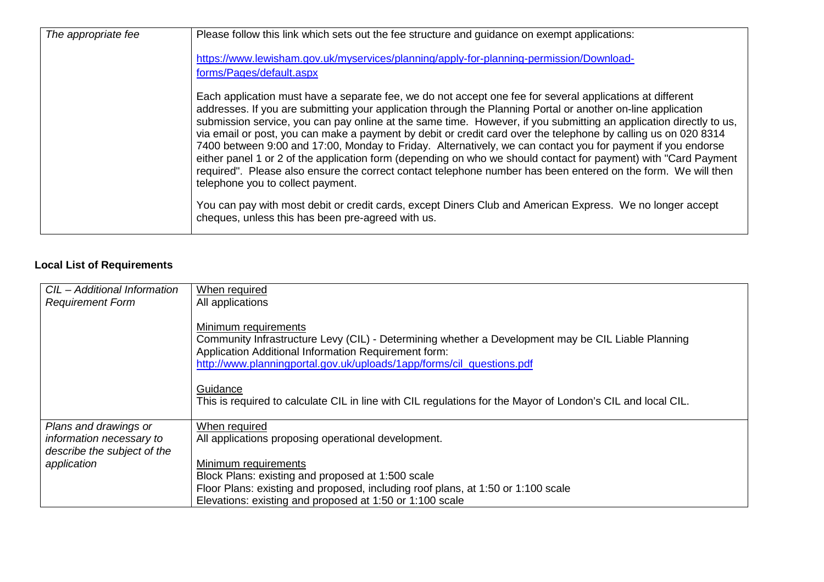| The appropriate fee | Please follow this link which sets out the fee structure and guidance on exempt applications:                                                                                                                                                                                                                                                                                                                                                                                                                                                                                                                                                                                                                                                                                                                                                             |
|---------------------|-----------------------------------------------------------------------------------------------------------------------------------------------------------------------------------------------------------------------------------------------------------------------------------------------------------------------------------------------------------------------------------------------------------------------------------------------------------------------------------------------------------------------------------------------------------------------------------------------------------------------------------------------------------------------------------------------------------------------------------------------------------------------------------------------------------------------------------------------------------|
|                     | https://www.lewisham.gov.uk/myservices/planning/apply-for-planning-permission/Download-                                                                                                                                                                                                                                                                                                                                                                                                                                                                                                                                                                                                                                                                                                                                                                   |
|                     | forms/Pages/default.aspx                                                                                                                                                                                                                                                                                                                                                                                                                                                                                                                                                                                                                                                                                                                                                                                                                                  |
|                     | Each application must have a separate fee, we do not accept one fee for several applications at different<br>addresses. If you are submitting your application through the Planning Portal or another on-line application<br>submission service, you can pay online at the same time. However, if you submitting an application directly to us,<br>via email or post, you can make a payment by debit or credit card over the telephone by calling us on 020 8314<br>7400 between 9:00 and 17:00, Monday to Friday. Alternatively, we can contact you for payment if you endorse<br>either panel 1 or 2 of the application form (depending on who we should contact for payment) with "Card Payment<br>required". Please also ensure the correct contact telephone number has been entered on the form. We will then<br>telephone you to collect payment. |
|                     | You can pay with most debit or credit cards, except Diners Club and American Express. We no longer accept<br>cheques, unless this has been pre-agreed with us.                                                                                                                                                                                                                                                                                                                                                                                                                                                                                                                                                                                                                                                                                            |

# **Local List of Requirements**

| CIL - Additional Information                            | When required                                                                                                                                                                                                                                                                                                                                                                          |
|---------------------------------------------------------|----------------------------------------------------------------------------------------------------------------------------------------------------------------------------------------------------------------------------------------------------------------------------------------------------------------------------------------------------------------------------------------|
| <b>Requirement Form</b>                                 | All applications                                                                                                                                                                                                                                                                                                                                                                       |
|                                                         | Minimum requirements<br>Community Infrastructure Levy (CIL) - Determining whether a Development may be CIL Liable Planning<br>Application Additional Information Requirement form:<br>http://www.planningportal.gov.uk/uploads/1app/forms/cil_questions.pdf<br>Guidance<br>This is required to calculate CIL in line with CIL regulations for the Mayor of London's CIL and local CIL. |
| Plans and drawings or                                   | When required                                                                                                                                                                                                                                                                                                                                                                          |
| information necessary to<br>describe the subject of the | All applications proposing operational development.                                                                                                                                                                                                                                                                                                                                    |
| application                                             | Minimum requirements                                                                                                                                                                                                                                                                                                                                                                   |
|                                                         | Block Plans: existing and proposed at 1:500 scale                                                                                                                                                                                                                                                                                                                                      |
|                                                         | Floor Plans: existing and proposed, including roof plans, at 1:50 or 1:100 scale                                                                                                                                                                                                                                                                                                       |
|                                                         | Elevations: existing and proposed at 1:50 or 1:100 scale                                                                                                                                                                                                                                                                                                                               |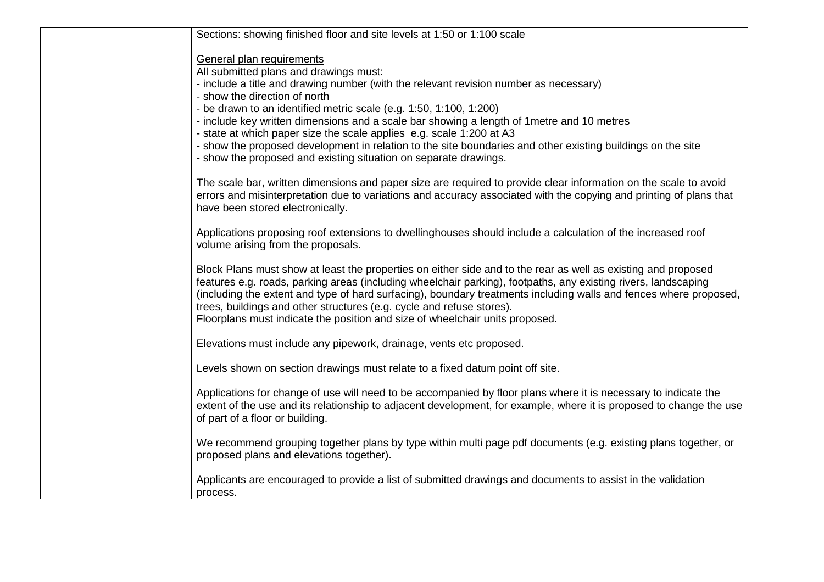| Sections: showing finished floor and site levels at 1:50 or 1:100 scale                                                                                                                                                                                                                                                                                                                                                                                                                                       |
|---------------------------------------------------------------------------------------------------------------------------------------------------------------------------------------------------------------------------------------------------------------------------------------------------------------------------------------------------------------------------------------------------------------------------------------------------------------------------------------------------------------|
| General plan requirements<br>All submitted plans and drawings must:                                                                                                                                                                                                                                                                                                                                                                                                                                           |
| - include a title and drawing number (with the relevant revision number as necessary)                                                                                                                                                                                                                                                                                                                                                                                                                         |
| - show the direction of north                                                                                                                                                                                                                                                                                                                                                                                                                                                                                 |
| - be drawn to an identified metric scale (e.g. 1:50, 1:100, 1:200)<br>- include key written dimensions and a scale bar showing a length of 1 metre and 10 metres                                                                                                                                                                                                                                                                                                                                              |
| - state at which paper size the scale applies e.g. scale 1:200 at A3                                                                                                                                                                                                                                                                                                                                                                                                                                          |
| - show the proposed development in relation to the site boundaries and other existing buildings on the site<br>- show the proposed and existing situation on separate drawings.                                                                                                                                                                                                                                                                                                                               |
| The scale bar, written dimensions and paper size are required to provide clear information on the scale to avoid<br>errors and misinterpretation due to variations and accuracy associated with the copying and printing of plans that<br>have been stored electronically.                                                                                                                                                                                                                                    |
| Applications proposing roof extensions to dwellinghouses should include a calculation of the increased roof<br>volume arising from the proposals.                                                                                                                                                                                                                                                                                                                                                             |
| Block Plans must show at least the properties on either side and to the rear as well as existing and proposed<br>features e.g. roads, parking areas (including wheelchair parking), footpaths, any existing rivers, landscaping<br>(including the extent and type of hard surfacing), boundary treatments including walls and fences where proposed,<br>trees, buildings and other structures (e.g. cycle and refuse stores).<br>Floorplans must indicate the position and size of wheelchair units proposed. |
| Elevations must include any pipework, drainage, vents etc proposed.                                                                                                                                                                                                                                                                                                                                                                                                                                           |
| Levels shown on section drawings must relate to a fixed datum point off site.                                                                                                                                                                                                                                                                                                                                                                                                                                 |
| Applications for change of use will need to be accompanied by floor plans where it is necessary to indicate the<br>extent of the use and its relationship to adjacent development, for example, where it is proposed to change the use<br>of part of a floor or building.                                                                                                                                                                                                                                     |
| We recommend grouping together plans by type within multi page pdf documents (e.g. existing plans together, or<br>proposed plans and elevations together).                                                                                                                                                                                                                                                                                                                                                    |
| Applicants are encouraged to provide a list of submitted drawings and documents to assist in the validation<br>process.                                                                                                                                                                                                                                                                                                                                                                                       |